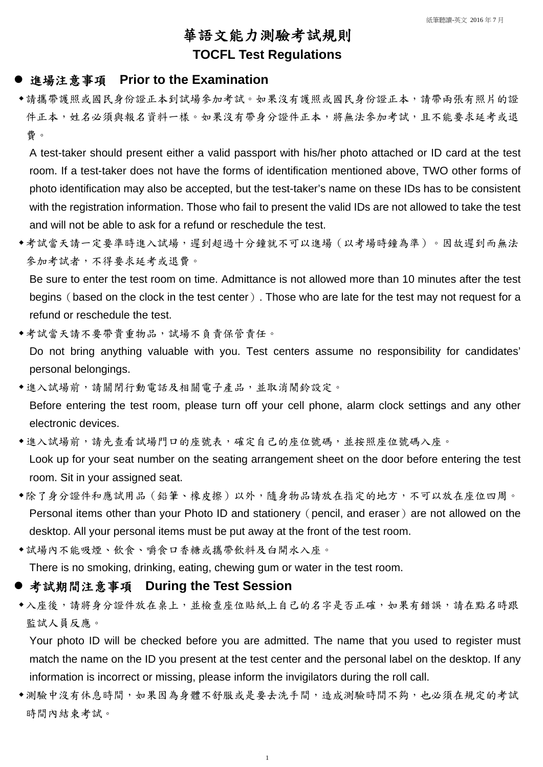# 華語文能力測驗考試規則 **TOCFL Test Regulations**

#### 進場注意事項 **Prior to the Examination**

請攜帶護照或國民身份證正本到試場參加考試。如果沒有護照或國民身份證正本,請帶兩張有照片的證 件正本,姓名必須與報名資料一樣。如果沒有帶身分證件正本,將無法參加考試,且不能要求延考或退 費。

◆考試當天請一定要準時進入試場,遲到超過十分鐘就不可以進場(以考場時鐘為準)。因故遲到而無法 參加考試者,不得要求延考或退費。

A test-taker should present either a valid passport with his/her photo attached or ID card at the test room. If a test-taker does not have the forms of identification mentioned above, TWO other forms of photo identification may also be accepted, but the test-taker's name on these IDs has to be consistent with the registration information. Those who fail to present the valid IDs are not allowed to take the test and will not be able to ask for a refund or reschedule the test.

- ◆考試當天請不要帶貴重物品,試場不負責保管責任。 Do not bring anything valuable with you. Test centers assume no responsibility for candidates' personal belongings.
- 進入試場前,請關閉行動電話及相關電子產品,並取消鬧鈴設定。 Before entering the test room, please turn off your cell phone, alarm clock settings and any other electronic devices.
- 進入試場前,請先查看試場門口的座號表,確定自己的座位號碼,並按照座位號碼入座。 Look up for your seat number on the seating arrangement sheet on the door before entering the test room. Sit in your assigned seat.
- 除了身分證件和應試用品(鉛筆、橡皮擦)以外,隨身物品請放在指定的地方,不可以放在座位四周。 Personal items other than your Photo ID and stationery (pencil, and eraser) are not allowed on the desktop. All your personal items must be put away at the front of the test room.
- 試場內不能吸煙、飲食、嚼食口香糖或攜帶飲料及白開水入座。

Be sure to enter the test room on time. Admittance is not allowed more than 10 minutes after the test begins (based on the clock in the test center). Those who are late for the test may not request for a refund or reschedule the test.

- ◆入座後,請將身分證件放在桌上,並檢查座位貼紙上自己的名字是否正確,如果有錯誤,請在點名時跟 監試人員反應。
- Your photo ID will be checked before you are admitted. The name that you used to register must match the name on the ID you present at the test center and the personal label on the desktop. If any information is incorrect or missing, please inform the invigilators during the roll call. ◆測驗中沒有休息時間,如果因為身體不舒服或是要去洗手間,造成測驗時間不夠,也必須在規定的考試 時間內結束考試。

There is no smoking, drinking, eating, chewing gum or water in the test room.

### 考試期間注意事項 **During the Test Session**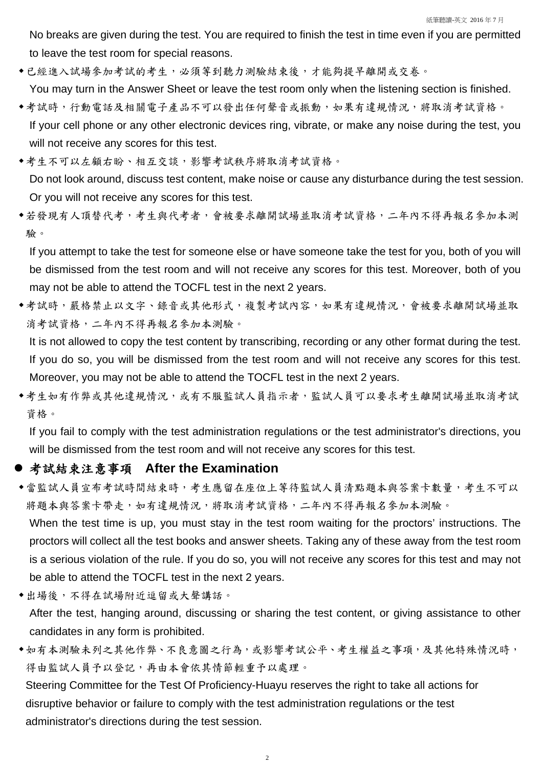No breaks are given during the test. You are required to finish the test in time even if you are permitted to leave the test room for special reasons.

- ◆已經進入試場參加考試的考生,必須等到聽力測驗結束後,才能夠提早離開或交卷。 You may turn in the Answer Sheet or leave the test room only when the listening section is finished.
- 考試時,行動電話及相關電子產品不可以發出任何聲音或振動,如果有違規情況,將取消考試資格。 If your cell phone or any other electronic devices ring, vibrate, or make any noise during the test, you will not receive any scores for this test.
- ◆考生不可以左顧右盼、相互交談,影響考試秩序將取消考試資格。

◆若發現有人頂替代考,考生與代考者,會被要求離開試場並取消考試資格,二年內不得再報名參加本測 驗。

◆考試時,嚴格禁止以文字、錄音或其他形式,複製考試內容,如果有違規情況,會被要求離開試場並取 消考試資格,二年內不得再報名參加本測驗。

Do not look around, discuss test content, make noise or cause any disturbance during the test session. Or you will not receive any scores for this test.

◆考生如有作弊或其他違規情況,或有不服監試人員指示者,監試人員可以要求考生離開試場並取消考試 資格。

If you attempt to take the test for someone else or have someone take the test for you, both of you will be dismissed from the test room and will not receive any scores for this test. Moreover, both of you may not be able to attend the TOCFL test in the next 2 years.

如有本測驗未列之其他作弊、不良意圖之行為,或影響考試公平、考生權益之事項,及其他特殊情況時, 得由監試人員予以登記,再由本會依其情節輕重予以處理。

It is not allowed to copy the test content by transcribing, recording or any other format during the test. If you do so, you will be dismissed from the test room and will not receive any scores for this test. Moreover, you may not be able to attend the TOCFL test in the next 2 years.

If you fail to comply with the test administration regulations or the test administrator's directions, you will be dismissed from the test room and will not receive any scores for this test.

#### **●考試結束注意事項 After the Examination**

◆當監試人員宣布考試時間結束時,考生應留在座位上等待監試人員清點題本與答案卡數量,考生不可以 將題本與答案卡帶走,如有違規情況,將取消考試資格,二年內不得再報名參加本測驗。

When the test time is up, you must stay in the test room waiting for the proctors' instructions. The proctors will collect all the test books and answer sheets. Taking any of these away from the test room is a serious violation of the rule. If you do so, you will not receive any scores for this test and may not be able to attend the TOCFL test in the next 2 years.

出場後,不得在試場附近逗留或大聲講話。

After the test, hanging around, discussing or sharing the test content, or giving assistance to other candidates in any form is prohibited.

Steering Committee for the Test Of Proficiency-Huayu reserves the right to take all actions for

disruptive behavior or failure to comply with the test administration regulations or the test

administrator's directions during the test session.